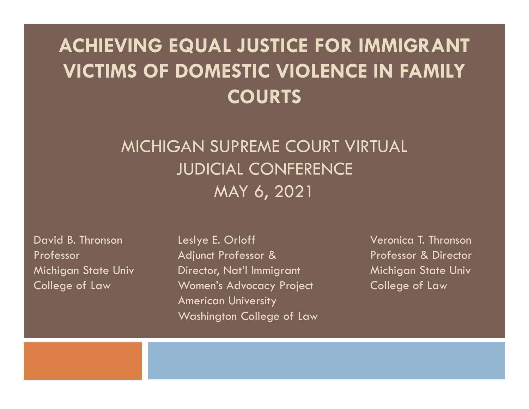### ACHIEVING EQUAL JUSTICE FOR IMMIGRANT VICTIMS OF DOMESTIC VIOLENCE IN FAMILY **COURTS**

# MICHIGAN SUPREME COURT VIRTUAL JUDICIAL CONFERENCE MAY 6, 2021 VICTIMS OF DOMESTIC VIOLENCE IN FAMILE<br>
COURTS<br>
MICHIGAN SUPREME COURT VIRTUAL<br>
JUDICIAL CONFERENCE<br>
MAY 6, 2021<br>
David B. Thronson Leslye E. Orloff Veronica T. Thronson<br>
Professor<br>
Michigan State Univ Director, Nat'l Immi **COURTS<br>
MICHIGAN SUPREME COURT VIRTUAL<br>
JUDICIAL CONFERENCE<br>
MAY 6, 2021<br>
Pavid B. Thronson Leslye E. Orloff Veronica T. Thronson<br>
Professor Adjunct Professor & Professor & Director<br>
Michigan State Univ Director, Nat'l Im** MICHIGAN SUPREME COURT VIRTUAL<br>
JUDICIAL CONFERENCE<br>
MAY 6, 2021<br>
Pavid B. Thronson Leslye E. Orloff<br>
Professor Adjunct Professor & Professor & Director<br>
Michigan State Univ Director, Nat'l Immigrant Michigan State Univ<br>
C MICHIGAN SUPREME COURT VIRTUAL<br>
JUDICIAL CONFERENCE<br>
MAY 6, 2021<br>
David B. Thronson Leslye E. Orloff Professor &<br>
Professor Adjunct Professor & Professor & Director<br>
Michigan State Univ Director, Nat'l Immigrant Michigan S

American University Washington College of Law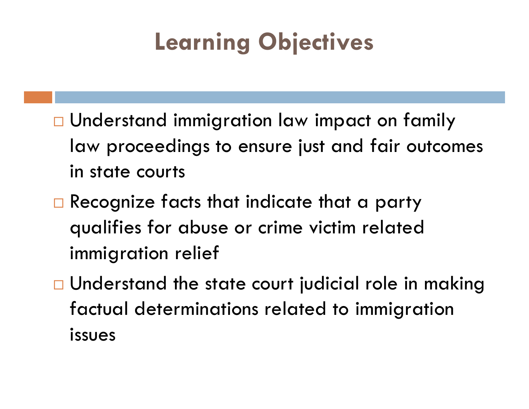# Learning Objectives

- □ Understand immigration law impact on family law proceedings to ensure just and fair outcomes in state courts
- $\Box$  Recognize facts that indicate that a party qualifies for abuse or crime victim related immigration relief
- $\Box$  Understand the state court judicial role in making factual determinations related to immigration issues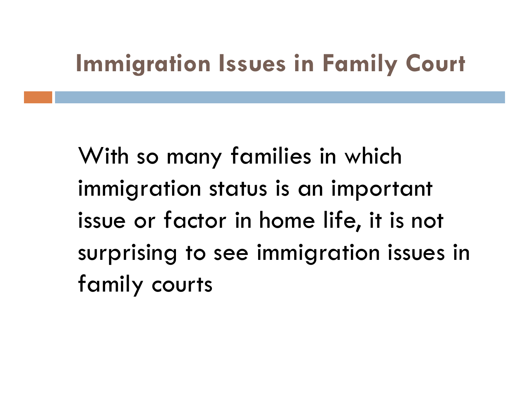# Immigration Issues in Family Court

With so many families in which immigration status is an important issue or factor in home life, it is not surprising to see immigration issues in family courts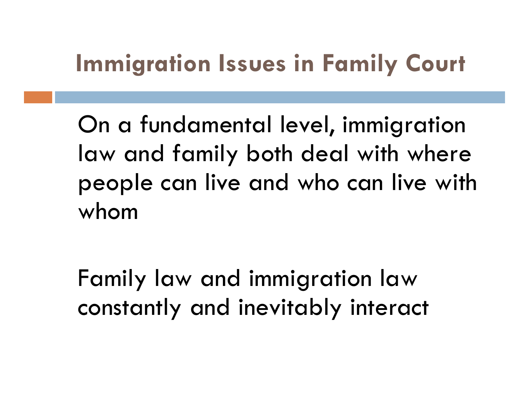# Immigration Issues in Family Court

On a fundamental level, immigration law and family both deal with where people can live and who can live with whom

Family law and immigration law constantly and inevitably interact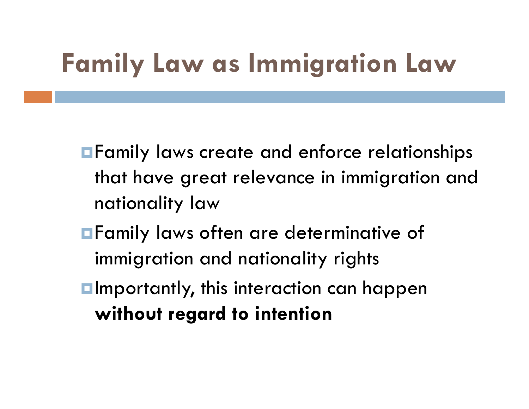# Family Law as Immigration Law

- **E** Family laws create and enforce relationships that have great relevance in immigration and nationality law
- **E** Family laws often are determinative of immigration and nationality rights
- **<u>Elmportantly</u>**, this interaction can happen without regard to intention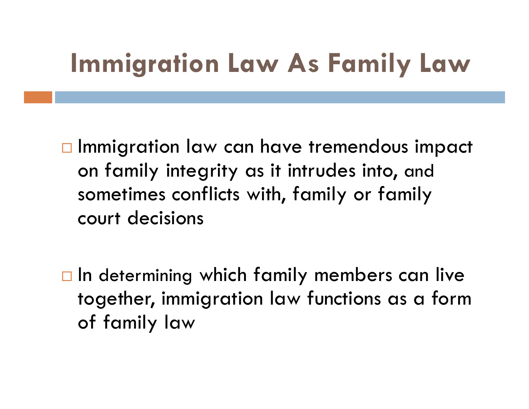# Immigration Law As Family Law

 $\Box$  Immigration law can have tremendous impact on family integrity as it intrudes into, and sometimes conflicts with, family or family court decisions

 $\Box$  In determining which family members can live together, immigration law functions as a form of family law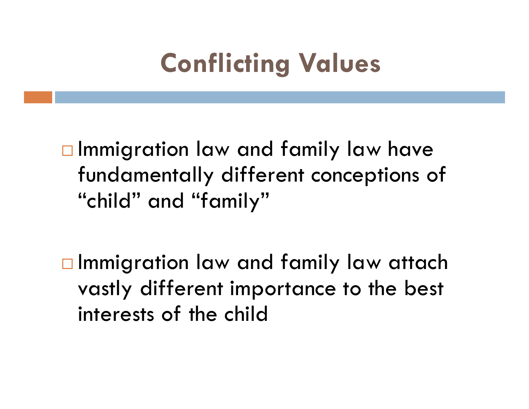# Conflicting Values

 $\square$  Immigration law and family law have fundamentally different conceptions of "child" and "family"

 $\square$  Immigration law and family law attach vastly different importance to the best interests of the child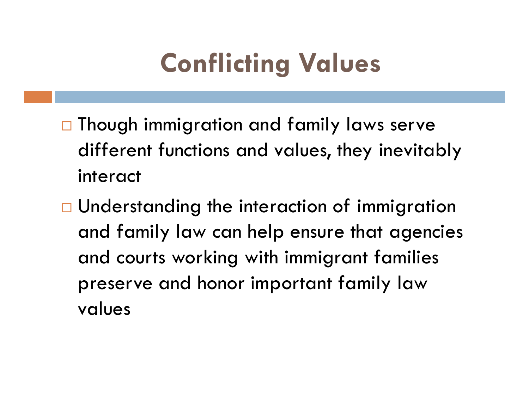# Conflicting Values

- □ Though immigration and family laws serve different functions and values, they inevitably interact
- □ Understanding the interaction of immigration and family law can help ensure that agencies and courts working with immigrant families preserve and honor important family law values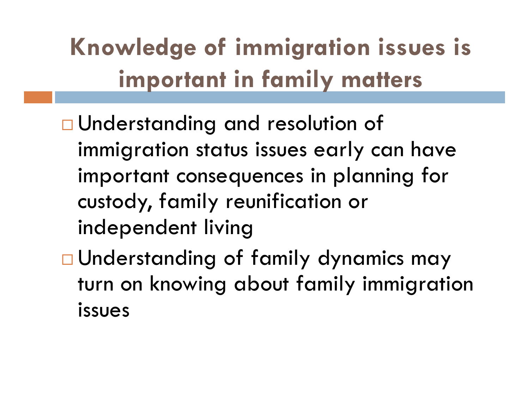# Knowledge of immigration issues is important in family matters

- □ Understanding and resolution of immigration status issues early can have important consequences in planning for custody, family reunification or independent living
- Understanding of family dynamics may turn on knowing about family immigration issues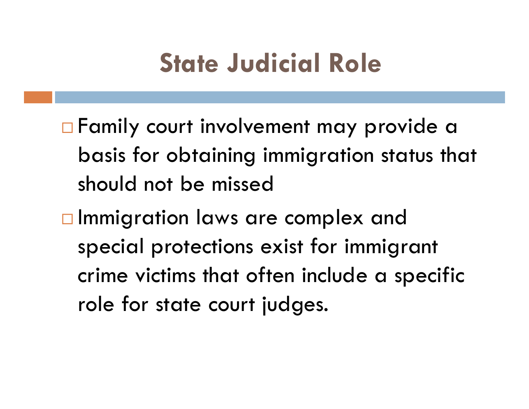# State Judicial Role

- □ Family court involvement may provide a basis for obtaining immigration status that should not be missed
- □ Immigration laws are complex and special protections exist for immigrant crime victims that often include a specific role for state court judges.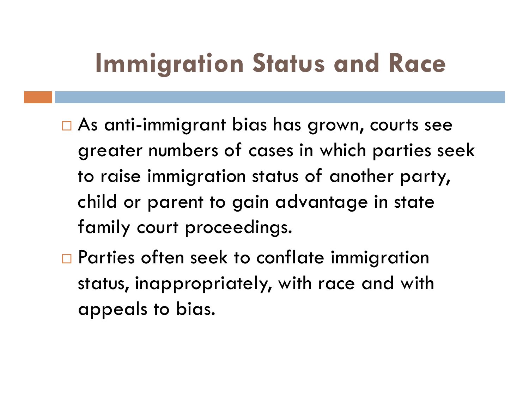# Immigration Status and Race

- As anti-immigrant bias has grown, courts see greater numbers of cases in which parties seek to raise immigration status of another party, child or parent to gain advantage in state family court proceedings.
- □ Parties often seek to conflate immigration status, inappropriately, with race and with appeals to bias.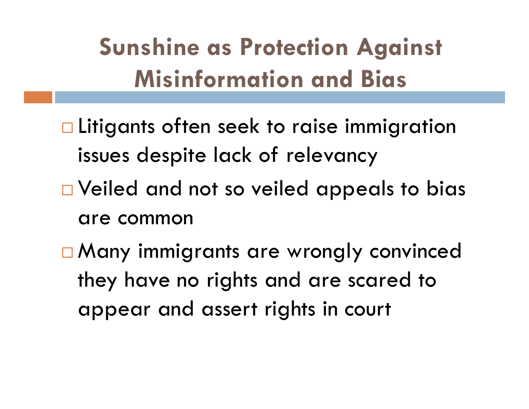# Sunshine as Protection Against Misinformation and Bias

- □ Litigants often seek to raise immigration issues despite lack of relevancy
- □ Veiled and not so veiled appeals to bias are common
- □ Many immigrants are wrongly convinced they have no rights and are scared to appear and assert rights in court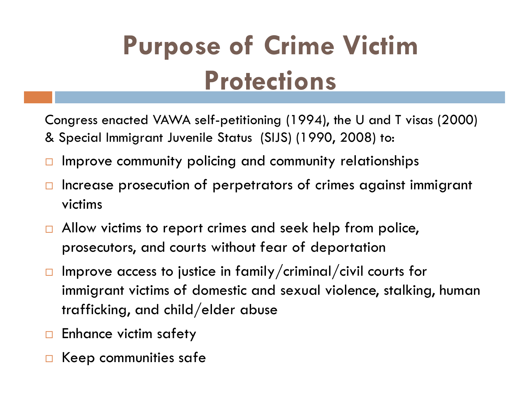# Purpose of Crime Victim **Protections**

Congress enacted VAWA self-petitioning (1994), the U and T visas (2000) & Special Immigrant Juvenile Status (SIJS) (1990, 2008) to:

- $\Box$  Improve community policing and community relationships
- $\Box$  Increase prosecution of perpetrators of crimes against immigrant victims
- $\Box$  Allow victims to report crimes and seek help from police, prosecutors, and courts without fear of deportation
- $\Box$  Improve access to justice in family/criminal/civil courts for immigrant victims of domestic and sexual violence, stalking, human trafficking, and child/elder abuse
- $\Box$  Enhance victim safety
- Keep communities safe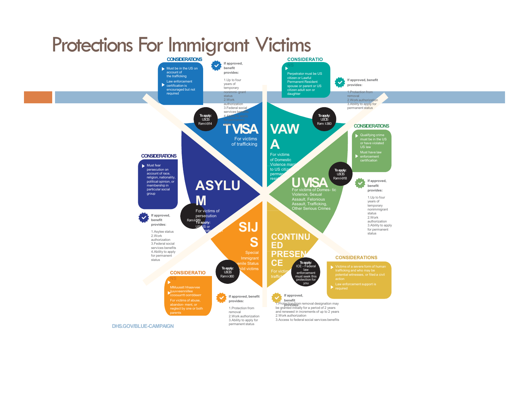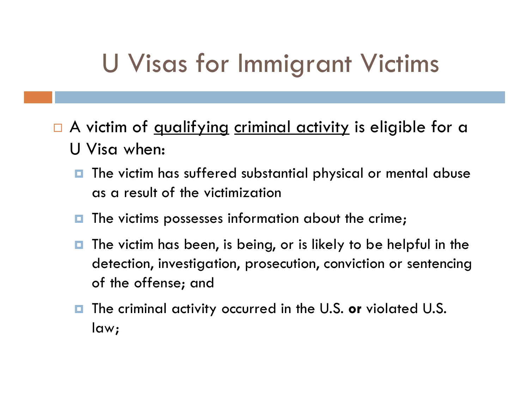# U Visas for Immigrant Victims

- U Visas for Immigrant Victims<br>
a A victim of <u>qualifying criminal activity</u> is eligible for a<br>
U Visa when:<br> **a** The victim has suffered substantial physical or mental abuse U Visa when:
	- $\blacksquare$  The victim has suffered substantial physical or mental abuse as a result of the victimization
	- $\blacksquare$  The victims possesses information about the crime;
	- $\blacksquare$  The victim has been, is being, or is likely to be helpful in the detection, investigation, prosecution, conviction or sentencing of the offense; and
	- **The criminal activity occurred in the U.S. or violated U.S.** law;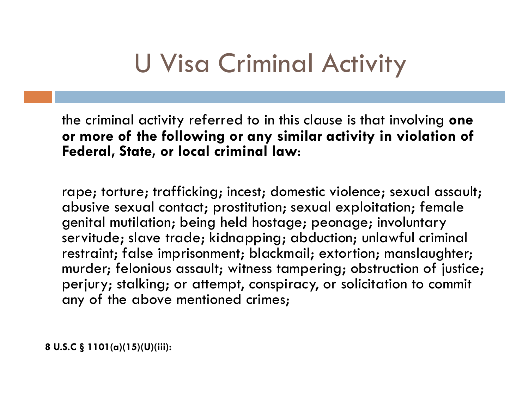# U Visa Criminal Activity

the criminal activity referred to in this clause is that involving one U Visa Criminal Activity<br>the criminal activity referred to in this clause is that involving one<br>or more of the following or any similar activity in violation of<br>Federal, State, or local criminal law: Federal, State, or local criminal law:

rape; torture; trafficking; incest; domestic violence; sexual assault; abusive sexual contact; prostitution; sexual exploitation; female genital mutilation; being held hostage; peonage; involuntary servitude; slave trade; kidnapping; abduction; unlawful criminal restraint; false imprisonment; blackmail; extortion; manslaughter; murder; felonious assault; witness tampering; obstruction of justice; perjury; stalking; or attempt, conspiracy, or solicitation to commit any of the above mentioned crimes; rape; torture; trafficking; incest; dome<br>abusive sexual contact; prostitution; se:<br>genital mutilation; being held hostage;<br>servitude; slave trade; kidnapping; ab<br>restraint; false imprisonment; blackmai<br>murder; felonious as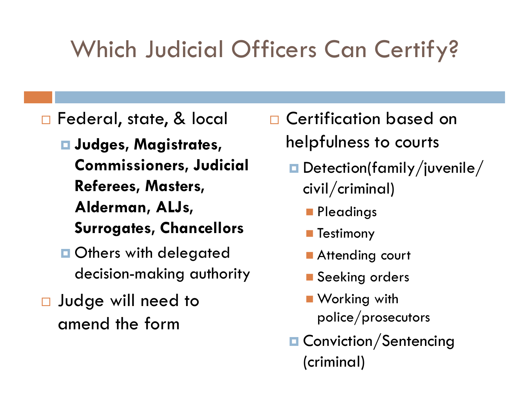# Which Judicial Officers Can Certify?

□ Federal, state, & local

 $\square$  Judges, Magistrates, Commissioners, Judicial Referees, Masters, Alderman, ALJs,

Surrogates, Chancellors

- **□ Others with delegated** decision-making authority
- □ Judge will need to amend the form
- Certification based on helpfulness to courts
	- Detection(family/juvenile/ civil/criminal)
		- **Pleadings**
		- **Testimony**
		- **Attending court**
		- **Seeking orders**
		- **Norking with** police/prosecutors
	- **O** Conviction/Sentencing (criminal)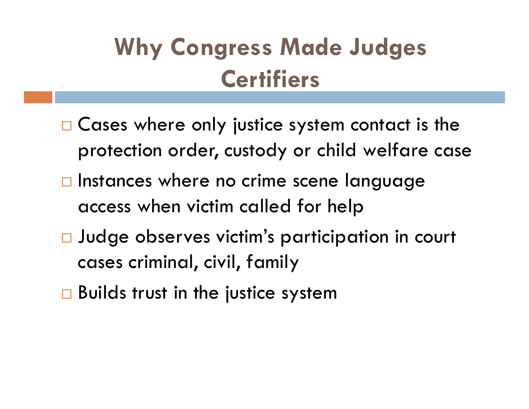# Why Congress Made Judges **Certifiers**

- $\Box$  Cases where only justice system contact is the protection order, custody or child welfare case
- $\Box$  Instances where no crime scene language access when victim called for help
- Judge observes victim's participation in court cases criminal, civil, family
- $\Box$  Builds trust in the justice system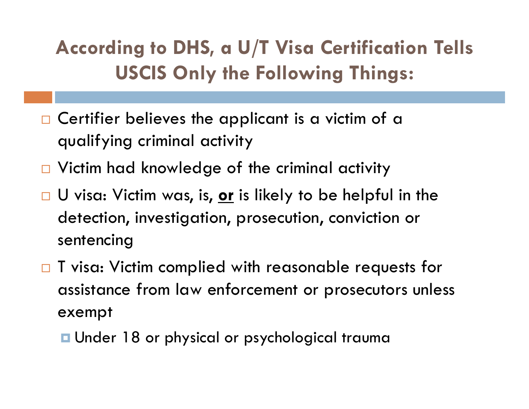### According to DHS, a U/T Visa Certification Tells USCIS Only the Following Things:

- $\Box$  Certifier believes the applicant is a victim of a qualifying criminal activity
- □ Victim had knowledge of the criminal activity
- $\Box$  U visa: Victim was, is, <u>or</u> is likely to be helpful in the detection, investigation, prosecution, conviction or sentencing
- T visa: Victim complied with reasonable requests for assistance from law enforcement or prosecutors unless exempt
	- Under 18 or physical or psychological trauma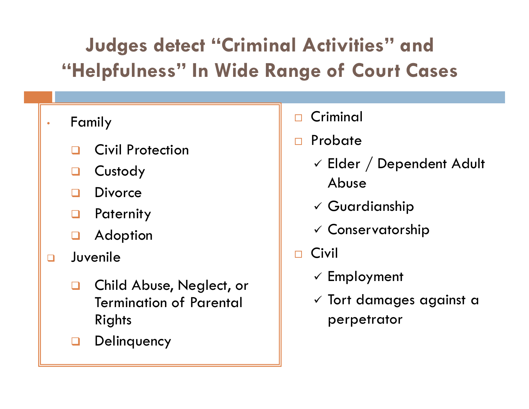## Judges detect "Criminal Activities" and "Helpfulness" In Wide Range of Court Cases

### **Family**

- Civil Protection
- **Q** Custody
- **Divorce**
- **Paternity**
- Adoption
- **D** Juvenile
	- Child Abuse, Neglect, or Termination of Parental Rights
	- **Delinquency**
- Criminal
- Probate
	- Elder / Dependent Adult Abuse
	- $\checkmark$  Guardianship
	- $\checkmark$  Conservatorship
- $\Box$  Civil  $\Box$ 
	- $\checkmark$  Employment
	- $\checkmark$  Tort damages against a perpetrator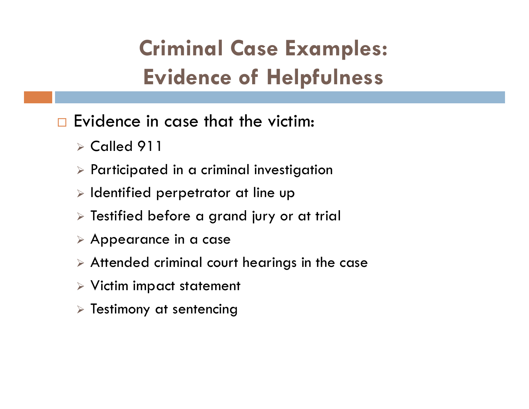# Criminal Case Examples: Evidence of Helpfulness

- $\square$  Evidence in case that the victim:
	- $\triangleright$  Called 911
	- $\triangleright$  Participated in a criminal investigation
	- $\triangleright$  Identified perpetrator at line up
	- $\triangleright$  Testified before a grand jury or at trial
	- Appearance in a case
	- Attended criminal court hearings in the case
	- $\triangleright$  Victim impact statement
	- $\triangleright$  Testimony at sentencing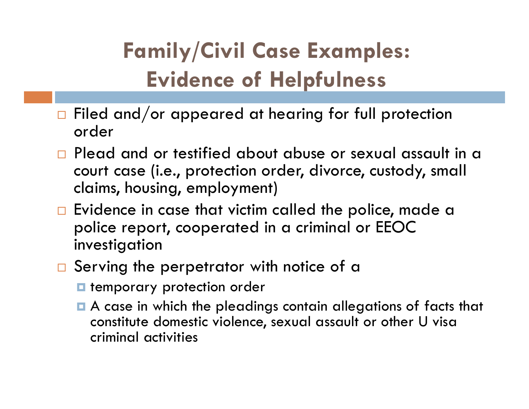# Family/Civil Case Examples: Evidence of Helpfulness

- $\Box$  Filed and/or appeared at hearing for full protection order
- □ Plead and or testified about abuse or sexual assault in a court case (i.e., protection order, divorce, custody, small claims, housing, employment)
- $\Box$  Evidence in case that victim called the police, made a police report, cooperated in a criminal or EEOC investigation
- □ Serving the perpetrator with notice of a
	- **E** temporary protection order
	- A case in which the pleadings contain allegations of facts that constitute domestic violence, sexual assault or other U visa criminal activities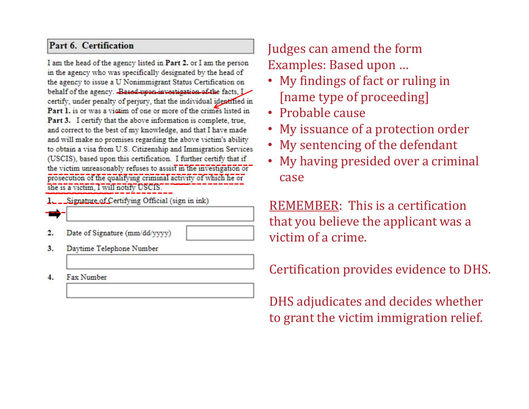### Part 6. Certification

I am the head of the agency listed in Part 2. or I am the person in the agency who was specifically designated by the head of the agency to issue a U Nonimmigrant Status Certification on<br>behalf of the agency. Based upon investigation of the facts, L<br>certify, under penalty of perjury, that the individual identified in Part 1. is or was a victim of one or more of the crimes listed in<br>Part 3. I certify that the above information is complete, true, and correct to the best of my knowledge, and that I have made and will make no promises regarding the above victim's ability to obtain a visa from U.S. Citizenship and Immigration Services the victim unreasonably refuses to assist in the investigation or<br>prosecution of the qualifying criminal activity of which he or CASC prosecution of the qualifying criminal activity of which he or CASC<br>she is a victim, I will notify USCIS. she is a victim, I will notify USCIS.

- ---- 1. Signature of Certifying Official (sign in ink)
- $2.$ Date of Signature (mm/dd/yyyy)
- Daytime Telephone Number 3.
- Fax Number 4.

### Judges can amend the form Examples: Based upon …

- My findings of fact or ruling in [name type of proceeding]
- Probable cause
- My issuance of a protection order
- My sentencing of the defendant
- I further certify that if  $\overline{\mathbf{r}}$  . My having presided over a criminal case

REMEMBER: This is a certification that you believe the applicant was a victim of a crime.

### Certification provides evidence to DHS.

DHS adjudicates and decides whether to grant the victim immigration relief.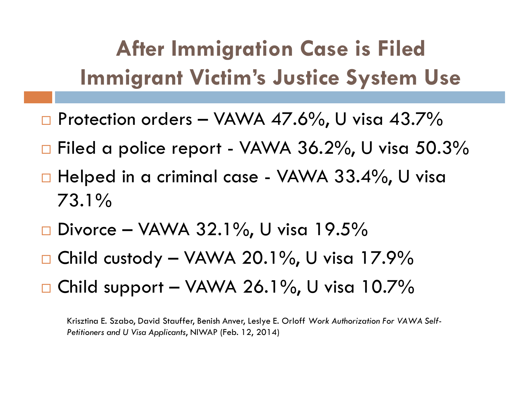# After Immigration Case is Filed Immigrant Victim's Justice System Use After Immigration Case is Filed<br>
Immigrant Victim's Justice System Use<br>
□ Protection orders – VAWA 47.6%, U visa 43.7%<br>
□ Filed a police report - VAWA 36.2%, U visa 50.3% After Immigration Case is Filed<br>Immigrant Victim's Justice System Use<br>a Protection orders - VAWA 47.6%, U visa 43.7%<br>a Filed a police report - VAWA 36.2%, U visa 50.3%<br>a Helped in a criminal case - VAWA 33.4%, U visa<br>72.1 After Immigration Case is Filed<br>
Immigrant Victim's Justice System Use<br>  $\Box$  Protection orders – VAWA 47.6%, U visa 43.7%<br>  $\Box$  Filed a police report - VAWA 36.2%, U visa 50.3%<br>  $\Box$  Helped in a criminal case - VAWA 33.4%

- 
- 
- 73.1% Immigrant Victim's Justice System Use<br>
Divorce – VAWA 47.6%, U visa 43.7%<br>
Difiled a police report - VAWA 36.2%, U visa 50.3%<br>
Difiled in a criminal case - VAWA 33.4%, U visa<br>
73.1%<br>
Divorce – VAWA 32.1%, U visa 19.5%<br>
Div □ Protection orders – VAWA 47.6%, U visa 43.7%<br>□ Filed a police report - VAWA 36.2%, U visa 50.3%<br>□ Helped in a criminal case - VAWA 33.4%, U visa<br>73.1%<br>□ Divorce – VAWA 32.1%, U visa 19.5%<br>□ Child custody – VAWA 20.1%, U Child support – VAWA 26.1%, U visa 10.7%
- 
- 
- 

Krisztina E. Szabo, David Stauffer, Benish Anver, Leslye E. Orloff Work Authorization For VAWA Self-Petitioners and U Visa Applicants, NIWAP (Feb. 12, 2014)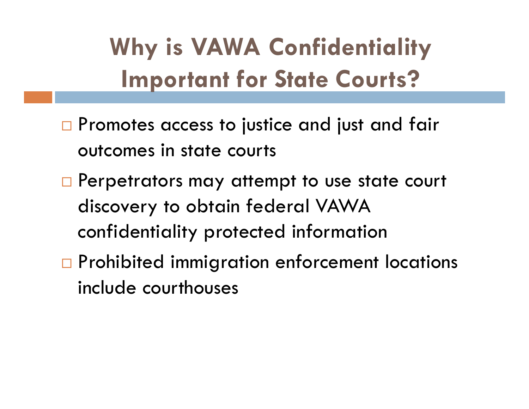# Why is VAWA Confidentiality Important for State Courts?

- $\Box$  Promotes access to justice and just and fair outcomes in state courts
- □ Perpetrators may attempt to use state court discovery to obtain federal VAWA confidentiality protected information
- □ Prohibited immigration enforcement locations include courthouses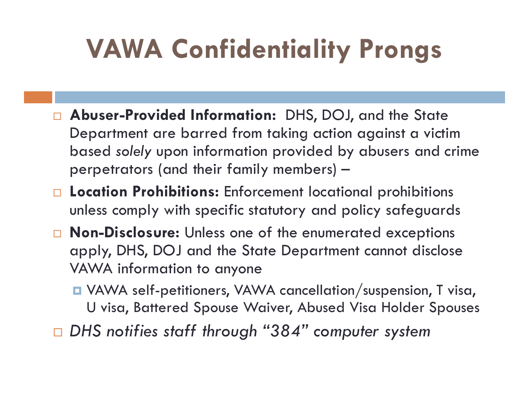# VAWA Confidentiality Prongs

- □ Abuser-Provided Information: DHS, DOJ, and the State Department are barred from taking action against a victim based solely upon information provided by abusers and crime perpetrators (and their family members) –
- □ Location Prohibitions: Enforcement locational prohibitions unless comply with specific statutory and policy safeguards
- □ Non-Disclosure: Unless one of the enumerated exceptions apply, DHS, DOJ and the State Department cannot disclose VAWA information to anyone
	- VAWA self-petitioners, VAWA cancellation/suspension, T visa, U visa, Battered Spouse Waiver, Abused Visa Holder Spouses
- $\Box$  DHS notifies staff through "384" computer system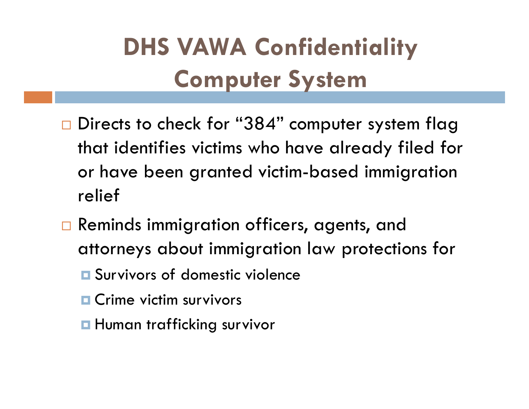# DHS VAWA Confidentiality Computer System

- $\Box$  Directs to check for "384" computer system flag that identifies victims who have already filed for or have been granted victim-based immigration relief
- Reminds immigration officers, agents, and attorneys about immigration law protections for
	- **E** Survivors of domestic violence
	- **D** Crime victim survivors
	- **H**uman trafficking survivor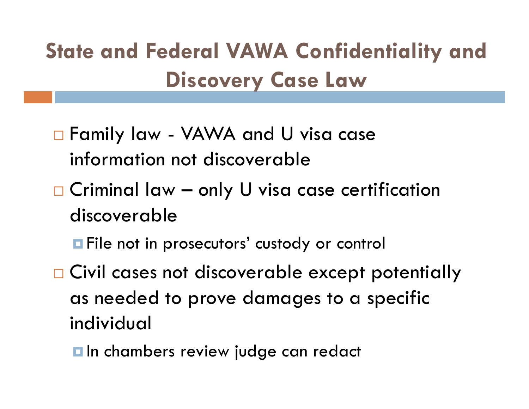# State and Federal VAWA Confidentiality and Discovery Case Law Family law - VAWA Confidentiality<br>Discovery Case Law<br>α Family law - VAWA and U visa case<br>information not discoverable Figure 1 Federal VAWA Confidentiality and<br>Discovery Case Law<br>■ Family law - VAWA and U visa case<br>information not discoverable<br>■ Criminal law – only U visa case certification<br>discoverable

- information not discoverable
- discoverable
	- **<u>Example</u>** File not in prosecutors' custody or control
- □ Civil cases not discoverable except potentially as needed to prove damages to a specific individual
	- $\blacksquare$  In chambers review judge can redact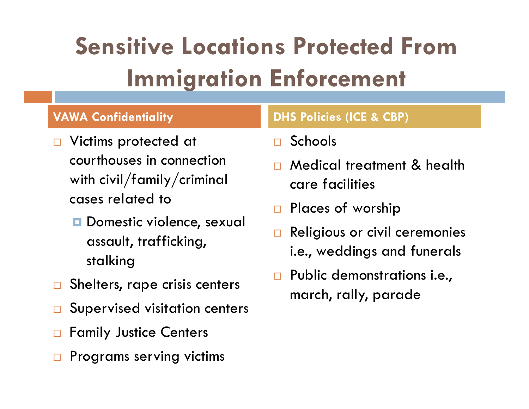# Sensitive Locations Protected From Immigration Enforcement

- □ Victims protected at courthouses in connection with civil/family/criminal cases related to
	- **D** Domestic violence, sexual assault, trafficking, stalking
- $\Box$  Shelters, rape crisis centers
- □ Supervised visitation centers
- □ Family Justice Centers
- $\Box$  Programs serving victims

### VAWA Confidentiality DHS Policies (ICE & CBP)

- Schools
- □ Medical treatment & health care facilities
- □ Places of worship
- Religious or civil ceremonies i.e., weddings and funerals
- Public demonstrations i.e., march, rally, parade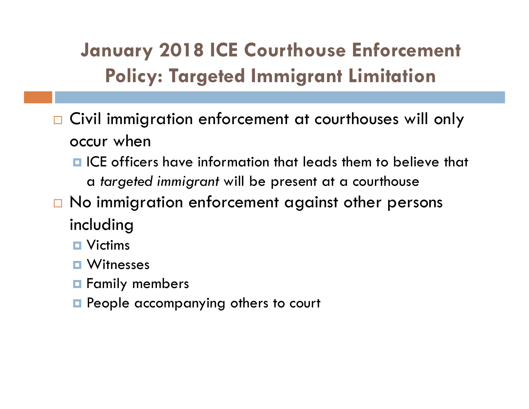### January 2018 ICE Courthouse Enforcement Policy: Targeted Immigrant Limitation

- □ Civil immigration enforcement at courthouses will only occur when
	- $\blacksquare$  ICE officers have information that leads them to believe that a targeted immigrant will be present at a courthouse
- $\Box$  No immigration enforcement against other persons including
	- **D** Victims
	- **D** Witnesses
	- $\blacksquare$  Family members
	- **People accompanying others to court**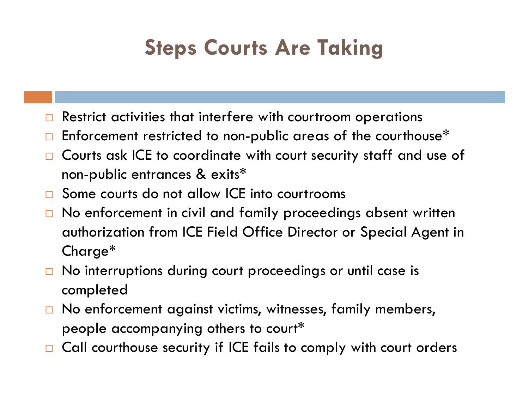# **Steps Courts Are Taking**

- Restrict activities that interfere with courtroom operations
- $\Box$  Enforcement restricted to non-public areas of the courthouse\*
- □ Courts ask ICE to coordinate with court security staff and use of non-public entrances & exits\*
- □ Some courts do not allow ICE into courtrooms
- $\Box$  No enforcement in civil and family proceedings absent written authorization from ICE Field Office Director or Special Agent in Charge\*
- □ No interruptions during court proceedings or until case is completed
- $\Box$  No enforcement against victims, witnesses, family members, people accompanying others to court\*
- □ Call courthouse security if ICE fails to comply with court orders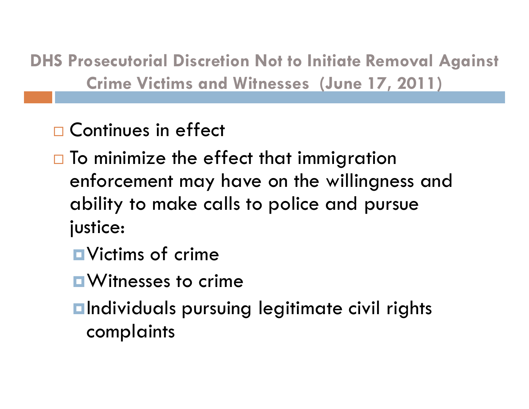DHS Prosecutorial Discretion Not to Initiate Removal Against Crime Victims and Witnesses (June 17, 2011)

□ Continues in effect

- $\Box$  To minimize the effect that immigration enforcement may have on the willingness and ability to make calls to police and pursue justice:
	- **D** Victims of crime
	- **N** Witnesses to crime
	- **<u>Elndividuals</u>** pursuing legitimate civil rights complaints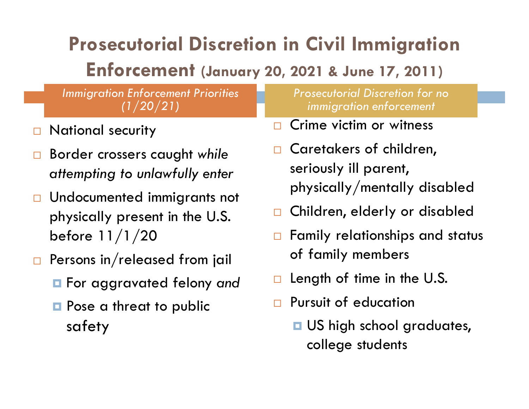## Prosecutorial Discretion in Civil Immigration

### Enforcement (January 20, 2021 & June 17, 2011)

Immigration Enforcement Priorities  $(1/20/21)$ 

- National security
- $\square$  Border crossers caught while attempting to unlawfully enter
- □ Undocumented immigrants not physically present in the U.S.  $\Box$ before 11/1/20
- $\Box$  Persons in/released from jail
	- **n** For aggravated felony and
	- **Pose a threat to public** safety

Prosecutorial Discretion for no immigration enforcement

- Crime victim or witness
- Caretakers of children, seriously ill parent, physically/mentally disabled
- Children, elderly or disabled
- $\Box$  Family relationships and status of family members
- Length of time in the U.S.
- **Pursuit of education** 
	- **<u>D</u>** US high school graduates, college students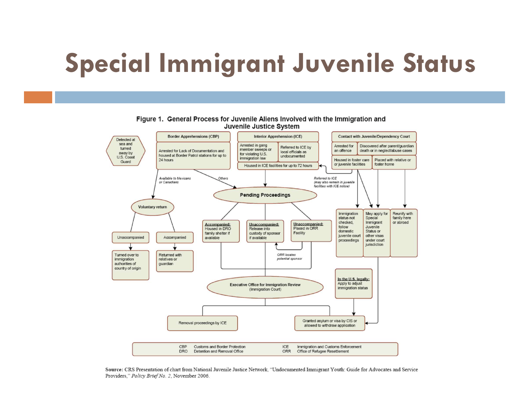# Special Immigrant Juvenile Status



### Figure 1. General Process for Juvenile Aliens Involved with the Immigration and Juvenile Justice System

Source: CRS Presentation of chart from National Juvenile Justice Network, "Undocumented Immigrant Youth: Guide for Advocates and Service Providers," Policy Brief No. 2, November 2006.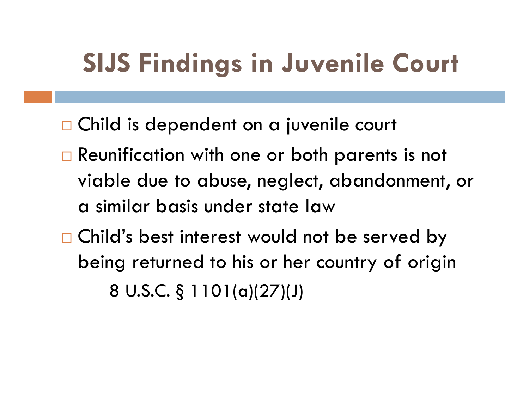# SIJS Findings in Juvenile Court

- □ Child is dependent on a juvenile court
- □ Reunification with one or both parents is not viable due to abuse, neglect, abandonment, or a similar basis under state law
- □ Child's best interest would not be served by being returned to his or her country of origin a is dependent on a jovenie court<br>inification with one or both parents is<br>ble due to abuse, neglect, abandoni<br>milar basis under state law<br>d's best interest would not be serve<br>ng returned to his or her country of<br>8 U.S.C. §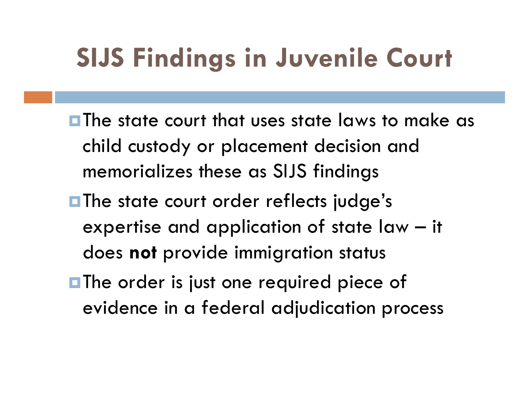# SIJS Findings in Juvenile Court

- **The state court that uses state laws to make as** child custody or placement decision and memorializes these as SIJS findings The state court that uses state laws to make as<br>child custody or placement decision and<br>memorializes these as SIJS findings<br>The state court order reflects judge's<br>expertise and application of state law – it<br>does **not** prov
- **The state court order reflects judge's** does not provide immigration status
- **The order is just one required piece of** evidence in a federal adjudication process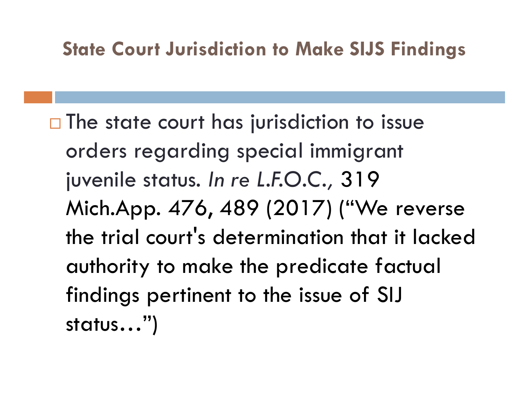### State Court Jurisdiction to Make SIJS Findings

 $\Box$  The state court has jurisdiction to issue orders regarding special immigrant juvenile status. In re L.F.O.C., 319 Mich.App. 476, 489 (2017) ("We reverse the trial court's determination that it lacked authority to make the predicate factual findings pertinent to the issue of SIJ status…")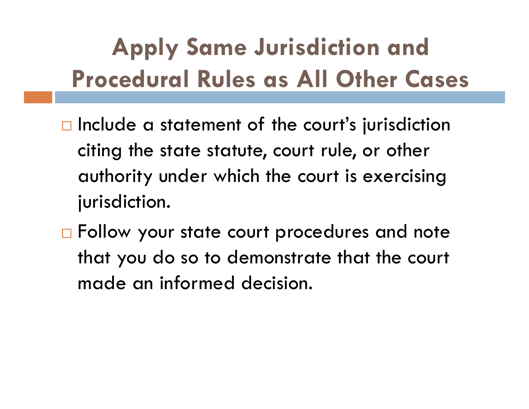# Apply Same Jurisdiction and Procedural Rules as All Other Cases

- $\Box$  Include a statement of the court's jurisdiction citing the state statute, court rule, or other authority under which the court is exercising jurisdiction.
- □ Follow your state court procedures and note that you do so to demonstrate that the court made an informed decision.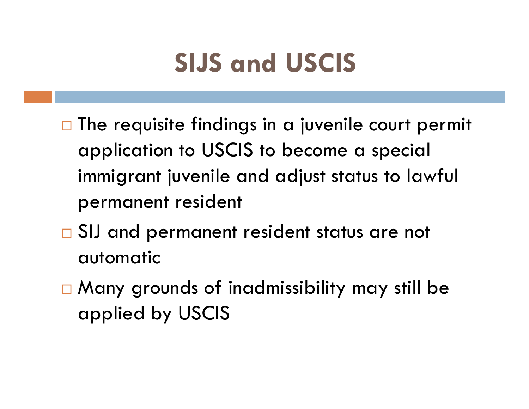# SIJS and USCIS

- $\Box$  The requisite findings in a juvenile court permit application to USCIS to become a special immigrant juvenile and adjust status to lawful permanent resident
- □ SIJ and permanent resident status are not automatic
- □ Many grounds of inadmissibility may still be applied by USCIS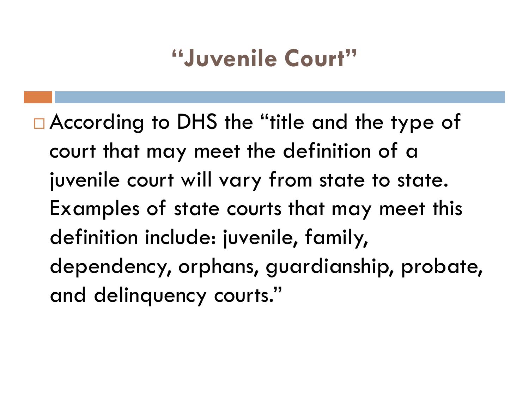# "Juvenile Court"

□ According to DHS the "title and the type of court that may meet the definition of a juvenile court will vary from state to state. Examples of state courts that may meet this definition include: juvenile, family, dependency, orphans, guardianship, probate, and delinquency courts."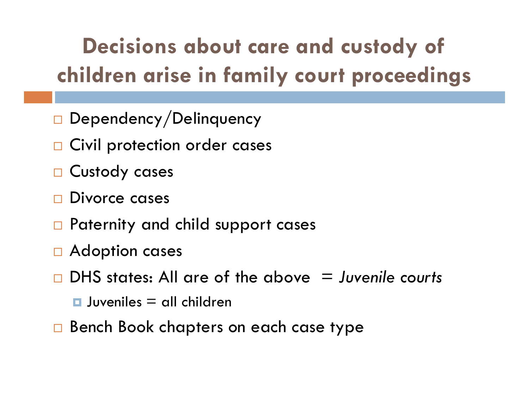# Decisions about care and custody of children arise in family court proceedings

- Dependency/Delinquency
- □ Civil protection order cases
- □ Custody cases
- Divorce cases
- □ Paternity and child support cases
- □ Adoption cases
- $\Box$  DHS states: All are of the above  $\Box$  Juvenile courts
	- $\Box$  Juveniles = all children
- □ Bench Book chapters on each case type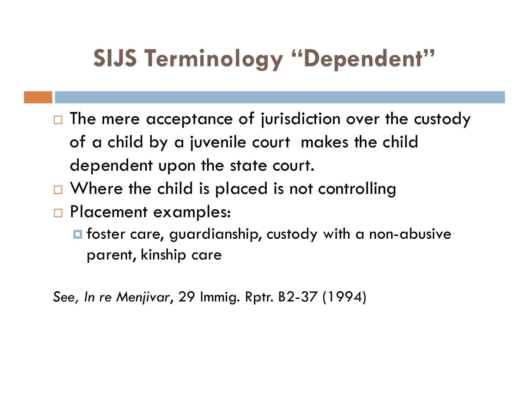# SIJS Terminology "Dependent"

- $\Box$  The mere acceptance of jurisdiction over the custody of a child by a juvenile court makes the child dependent upon the state court.
- $\Box$  Where the child is placed is not controlling
- □ Placement examples:
	- $\blacksquare$  foster care, guardianship, custody with a non-abusive parent, kinship care

See, In re Menjivar, 29 Immig. Rptr. B2-37 (1994)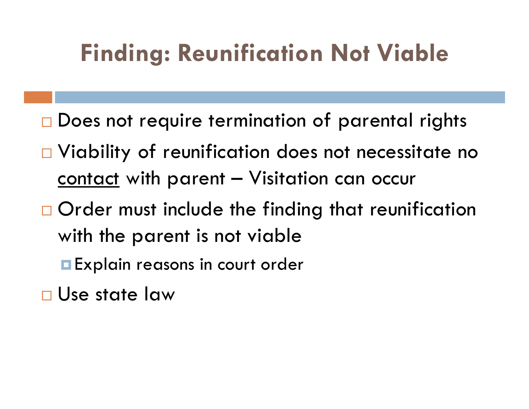# Finding: Reunification Not Viable

- □ Does not require termination of parental rights
- □ Viability of reunification does not necessitate no **Finding: Reunification Not Viable**<br>Does not require termination of parental rights<br>Viability of reunification does not necessitate no<br><u>contact</u> with parent – Visitation can occur<br>Order must include the finding that reunif
- □ Order must include the finding that reunification with the parent is not viable
	- **Explain reasons in court order**
- Use state law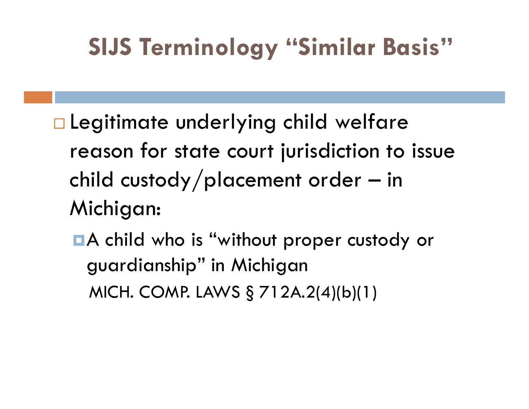# SIJS Terminology "Similar Basis"

- □ Legitimate underlying child welfare reason for state court jurisdiction to issue SIJS Terminology "Similar Basis"<br>Legitimate underlying child welfare<br>reason for state court jurisdiction to issue<br>child custody/placement order – in<br>Michigan: Michigan: gimmare enactrying enna werrare<br>ason for state court jurisdiction to issue<br>ild custody/placement order — in<br>ichigan:<br>A child who is "without proper custody or<br>guardianship" in Michigan<br>MICH. COMP. LAWS § 712A.2(4)(b)(1)
	- A child who is "without proper custody or guardianship" in Michigan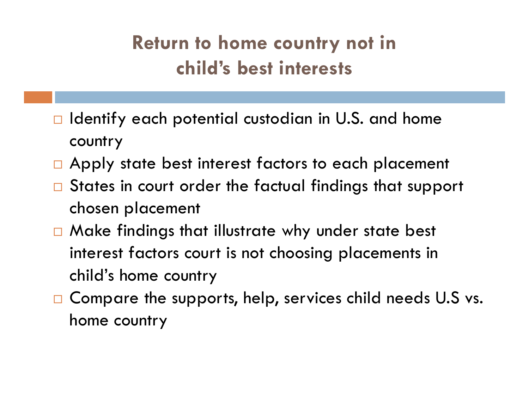### Return to home country not in child's best interests

- $\Box$  Identify each potential custodian in U.S. and home country
- □ Apply state best interest factors to each placement
- □ States in court order the factual findings that support chosen placement
- $\Box$  Make findings that illustrate why under state best interest factors court is not choosing placements in child's home country
- □ Compare the supports, help, services child needs U.S vs. home country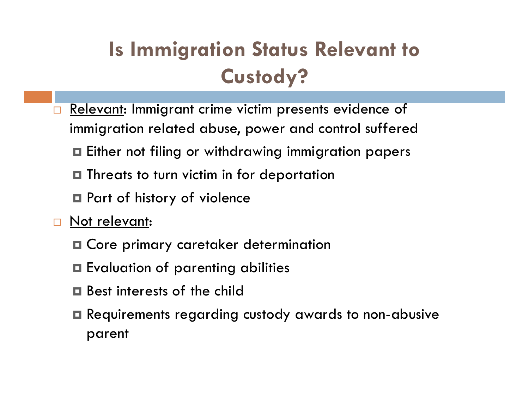## Is Immigration Status Relevant to Custody?

- Relevant: Immigrant crime victim presents evidence of immigration related abuse, power and control suffered
	- Either not filing or withdrawing immigration papers
	- **□** Threats to turn victim in for deportation
	- **□** Part of history of violence
- □ Not relevant:
	- Core primary caretaker determination
	- Evaluation of parenting abilities
	- Best interests of the child
	- Requirements regarding custody awards to non-abusive parent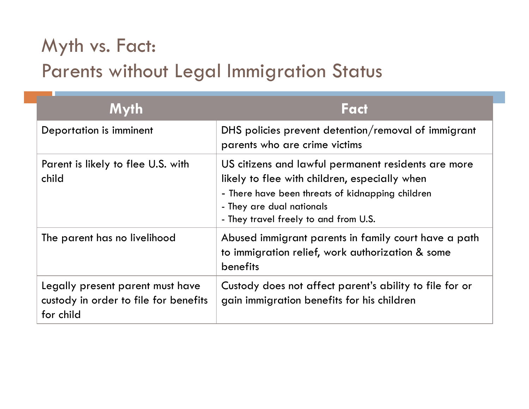### Myth vs. Fact: Parents without Legal Immigration Status

| Myth vs. Fact:<br><b>Parents without Legal Immigration Status</b>         |                                                                                                                                                                                                                                |
|---------------------------------------------------------------------------|--------------------------------------------------------------------------------------------------------------------------------------------------------------------------------------------------------------------------------|
| <b>Myth</b>                                                               | Fact                                                                                                                                                                                                                           |
| Deportation is imminent                                                   | DHS policies prevent detention/removal of immigrant<br>parents who are crime victims                                                                                                                                           |
| Parent is likely to flee U.S. with<br>child                               | US citizens and lawful permanent residents are more<br>likely to flee with children, especially when<br>- There have been threats of kidnapping children<br>- They are dual nationals<br>- They travel freely to and from U.S. |
| The parent has no livelihood                                              | Abused immigrant parents in family court have a path<br>to immigration relief, work authorization & some<br>benefits                                                                                                           |
| Legally present parent must have<br>custody in order to file for benefits | Custody does not affect parent's ability to file for or<br>gain immigration benefits for his children                                                                                                                          |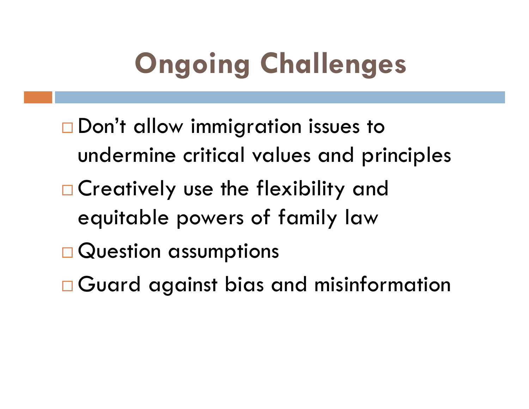# Ongoing Challenges

- □ Don't allow immigration issues to undermine critical values and principles
- □ Creatively use the flexibility and equitable powers of family law
- □ Question assumptions
- Guard against bias and misinformation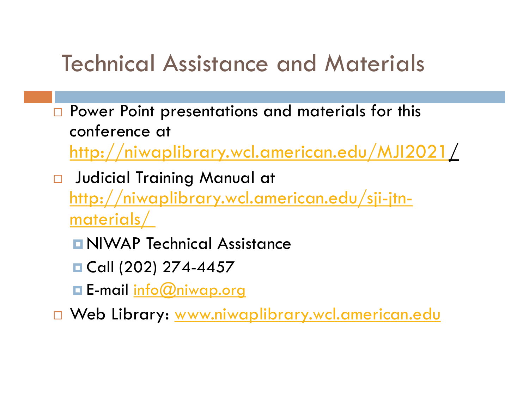## Technical Assistance and Materials

- Power Point presentations and materials for this conference at http://niwaplibrary.wcl.american.edu/MJI2021/
- Judicial Training Manual at http://niwaplibrary.wcl.american.edu/sji-jtnmaterials/
	- **NIWAP Technical Assistance**
	- Call (202) 274-4457
	- **E-mail info@niwap.org**

□ Web Library: www.niwaplibrary.wcl.american.edu